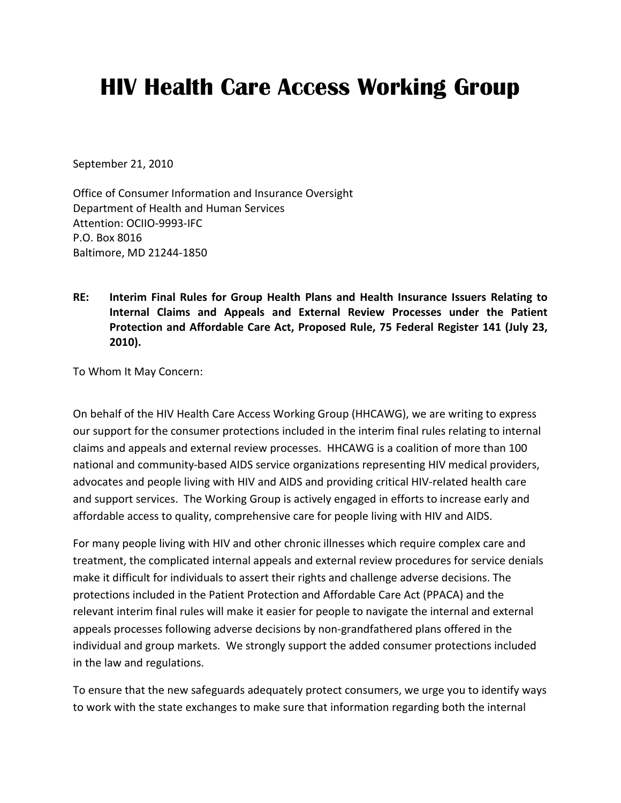## **HIV Health Care Access Working Group**

September 21, 2010

Office of Consumer Information and Insurance Oversight Department of Health and Human Services Attention: OCIIO-9993-IFC P.O. Box 8016 Baltimore, MD 21244-1850

**RE: Interim Final Rules for Group Health Plans and Health Insurance Issuers Relating to Internal Claims and Appeals and External Review Processes under the Patient Protection and Affordable Care Act, Proposed Rule, 75 Federal Register 141 (July 23, 2010).**

To Whom It May Concern:

On behalf of the HIV Health Care Access Working Group (HHCAWG), we are writing to express our support for the consumer protections included in the interim final rules relating to internal claims and appeals and external review processes. HHCAWG is a coalition of more than 100 national and community-based AIDS service organizations representing HIV medical providers, advocates and people living with HIV and AIDS and providing critical HIV-related health care and support services. The Working Group is actively engaged in efforts to increase early and affordable access to quality, comprehensive care for people living with HIV and AIDS.

For many people living with HIV and other chronic illnesses which require complex care and treatment, the complicated internal appeals and external review procedures for service denials make it difficult for individuals to assert their rights and challenge adverse decisions. The protections included in the Patient Protection and Affordable Care Act (PPACA) and the relevant interim final rules will make it easier for people to navigate the internal and external appeals processes following adverse decisions by non-grandfathered plans offered in the individual and group markets. We strongly support the added consumer protections included in the law and regulations.

To ensure that the new safeguards adequately protect consumers, we urge you to identify ways to work with the state exchanges to make sure that information regarding both the internal